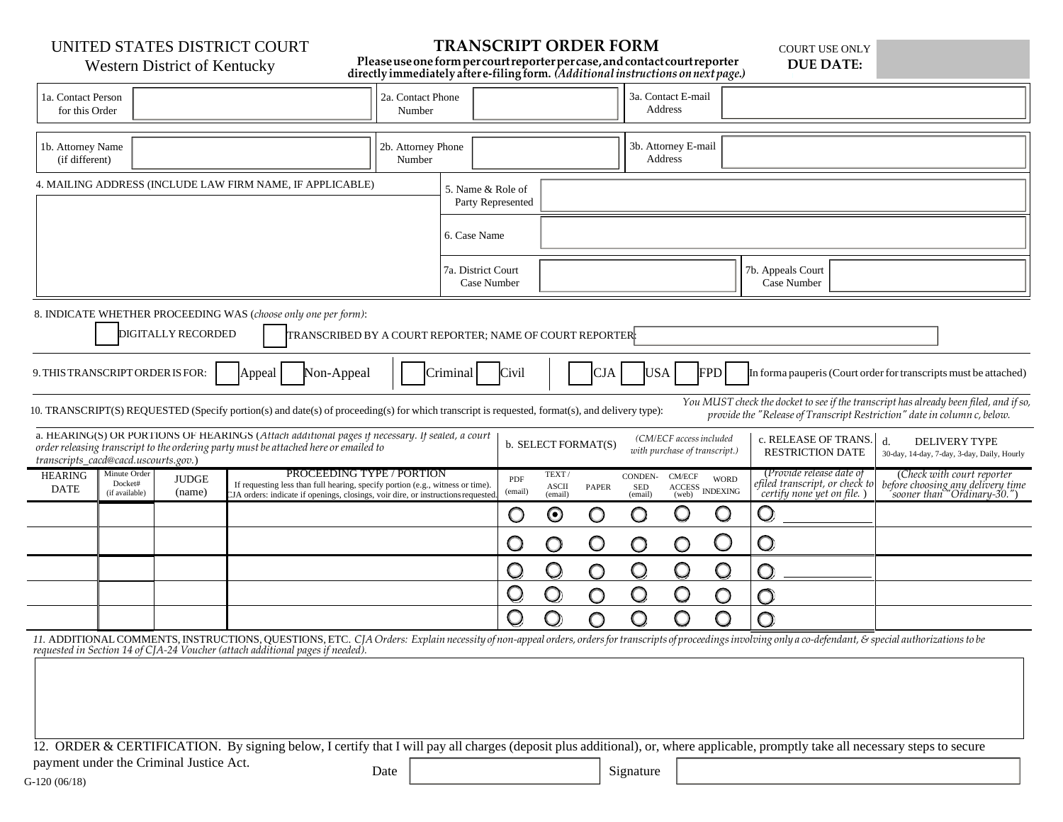UNITED STATES DISTRICT COURT

# **TRANSCRIPT ORDER FORM**

COURT USE ONLY **DUE DATE:**

# Western District of Kentucky

**Pleaseuseoneformpercourtreporterpercase,andcontactcourtreporter directly immediately aftere-filingform.** *(Additionalinstructions onnextpage.)*

| 1a. Contact Person<br>for this Order                                                                                                                                                                                                                                                                                |                                           |                        |  | 2a. Contact Phone<br>Number                                                                                                                                                                    |                              |  |                                        |                                                                                 | 3a. Contact E-mail<br>Address |                                  |                                                                      |                                                       |                                                                                          |  |                                                                                                                                                                                                                |  |
|---------------------------------------------------------------------------------------------------------------------------------------------------------------------------------------------------------------------------------------------------------------------------------------------------------------------|-------------------------------------------|------------------------|--|------------------------------------------------------------------------------------------------------------------------------------------------------------------------------------------------|------------------------------|--|----------------------------------------|---------------------------------------------------------------------------------|-------------------------------|----------------------------------|----------------------------------------------------------------------|-------------------------------------------------------|------------------------------------------------------------------------------------------|--|----------------------------------------------------------------------------------------------------------------------------------------------------------------------------------------------------------------|--|
| 1b. Attorney Name<br>(if different)                                                                                                                                                                                                                                                                                 |                                           |                        |  |                                                                                                                                                                                                | 2b. Attorney Phone<br>Number |  |                                        |                                                                                 |                               |                                  | 3b. Attorney E-mail<br>Address                                       |                                                       |                                                                                          |  |                                                                                                                                                                                                                |  |
| 4. MAILING ADDRESS (INCLUDE LAW FIRM NAME, IF APPLICABLE)                                                                                                                                                                                                                                                           |                                           |                        |  |                                                                                                                                                                                                |                              |  | 5. Name & Role of<br>Party Represented |                                                                                 |                               |                                  |                                                                      |                                                       |                                                                                          |  |                                                                                                                                                                                                                |  |
|                                                                                                                                                                                                                                                                                                                     |                                           |                        |  |                                                                                                                                                                                                |                              |  | 6. Case Name                           |                                                                                 |                               |                                  |                                                                      |                                                       |                                                                                          |  |                                                                                                                                                                                                                |  |
|                                                                                                                                                                                                                                                                                                                     |                                           |                        |  |                                                                                                                                                                                                |                              |  | 7a. District Court<br>Case Number      |                                                                                 |                               |                                  |                                                                      |                                                       | 7b. Appeals Court<br>Case Number                                                         |  |                                                                                                                                                                                                                |  |
| 8. INDICATE WHETHER PROCEEDING WAS (choose only one per form):<br><b>DIGITALLY RECORDED</b><br>TRANSCRIBED BY A COURT REPORTER; NAME OF COURT REPORTER                                                                                                                                                              |                                           |                        |  |                                                                                                                                                                                                |                              |  |                                        |                                                                                 |                               |                                  |                                                                      |                                                       |                                                                                          |  |                                                                                                                                                                                                                |  |
| <b>USA</b><br>9. THIS TRANSCRIPT ORDER IS FOR:<br>Non-Appeal<br>Civil<br><b>CJA</b><br>FPD<br>Criminal<br>In forma pauperis (Court order for transcripts must be attached)<br>Appeal                                                                                                                                |                                           |                        |  |                                                                                                                                                                                                |                              |  |                                        |                                                                                 |                               |                                  |                                                                      |                                                       |                                                                                          |  |                                                                                                                                                                                                                |  |
| You MUST check the docket to see if the transcript has already been filed, and if so,<br>10. TRANSCRIPT(S) REQUESTED (Specify portion(s) and date(s) of proceeding(s) for which transcript is requested, format(s), and delivery type):<br>provide the "Release of Transcript Restriction" date in column c, below. |                                           |                        |  |                                                                                                                                                                                                |                              |  |                                        |                                                                                 |                               |                                  |                                                                      |                                                       |                                                                                          |  |                                                                                                                                                                                                                |  |
| a. HEARING(S) OR PORTIONS OF HEARINGS (Attach additional pages if necessary. If sealed, a court<br>order releasing transcript to the ordering party must be attached here or emailed to<br>transcripts_cacd@cacd.uscourts.gov.)                                                                                     |                                           |                        |  |                                                                                                                                                                                                |                              |  |                                        | (CM/ECF access included<br>b. SELECT FORMAT(S)<br>with purchase of transcript.) |                               |                                  |                                                                      |                                                       | c. RELEASE OF TRANS.<br><b>RESTRICTION DATE</b>                                          |  | d.<br><b>DELIVERY TYPE</b><br>30-day, 14-day, 7-day, 3-day, Daily, Hourly                                                                                                                                      |  |
| <b>HEARING</b><br><b>DATE</b>                                                                                                                                                                                                                                                                                       | Minute Order<br>Docket#<br>(if available) | <b>JUDGE</b><br>(name) |  | PROCEEDING TYPE / PORTION<br>If requesting less than full hearing, specify portion (e.g., witness or time).<br>JA orders: indicate if openings, closings, voir dire, or instructions requested |                              |  | PDF<br>(email)                         | TEXT/<br><b>ASCII</b><br>(email)                                                | PAPER                         | CONDEN-<br><b>SED</b><br>(email) | $\ensuremath{\mathrm{CM}}\xspace/\ensuremath{\mathrm{ECF}}$<br>(web) | <b>WORD</b><br>$\operatorname{ACCESS}_\text{NDEXING}$ | (Provide release date of<br>efiled transcript, or check to<br>certify none yet on file.) |  | (Check with court reporter<br>before choosing any delivery time<br>sooner than "Ordinary-30.")                                                                                                                 |  |
|                                                                                                                                                                                                                                                                                                                     |                                           |                        |  |                                                                                                                                                                                                |                              |  | O                                      | $\bm{\odot}$                                                                    | O                             | $\bigcirc$                       | $\bigcirc$                                                           | O                                                     | $\bigcirc$                                                                               |  |                                                                                                                                                                                                                |  |
|                                                                                                                                                                                                                                                                                                                     |                                           |                        |  |                                                                                                                                                                                                |                              |  | O                                      | O                                                                               | $\circ$                       | O                                | $\bigcirc$                                                           | C                                                     | O                                                                                        |  |                                                                                                                                                                                                                |  |
|                                                                                                                                                                                                                                                                                                                     |                                           |                        |  |                                                                                                                                                                                                |                              |  | O                                      | $\mathsf{O}$                                                                    | O                             | $\bigcirc$                       | $\bigcirc$                                                           | $\bigcirc$                                            | Ω                                                                                        |  |                                                                                                                                                                                                                |  |
|                                                                                                                                                                                                                                                                                                                     |                                           |                        |  |                                                                                                                                                                                                |                              |  | Q                                      | $\mathbf{\mathsf{Q}}$                                                           | O                             |                                  | $\mathsf{O}$                                                         | O                                                     | O                                                                                        |  |                                                                                                                                                                                                                |  |
|                                                                                                                                                                                                                                                                                                                     |                                           |                        |  |                                                                                                                                                                                                |                              |  | Q                                      | $\mathsf{O}$                                                                    | O                             | O                                | $\bigcirc$                                                           | O                                                     | $\bigcirc$                                                                               |  |                                                                                                                                                                                                                |  |
|                                                                                                                                                                                                                                                                                                                     |                                           |                        |  | requested in Section 14 of CJA-24 Voucher (attach additional pages if needed).                                                                                                                 |                              |  |                                        |                                                                                 |                               |                                  |                                                                      |                                                       |                                                                                          |  | 11. ADDITIONAL COMMENTS, INSTRUCTIONS, QUESTIONS, ETC. CJA Orders: Explain necessity of non-appeal orders, orders for transcripts of proceedings involving only a co-defendant, & special authorizations to be |  |
|                                                                                                                                                                                                                                                                                                                     |                                           |                        |  |                                                                                                                                                                                                |                              |  |                                        |                                                                                 |                               |                                  |                                                                      |                                                       |                                                                                          |  |                                                                                                                                                                                                                |  |
|                                                                                                                                                                                                                                                                                                                     |                                           |                        |  |                                                                                                                                                                                                |                              |  |                                        |                                                                                 |                               |                                  |                                                                      |                                                       |                                                                                          |  |                                                                                                                                                                                                                |  |
|                                                                                                                                                                                                                                                                                                                     |                                           |                        |  |                                                                                                                                                                                                |                              |  |                                        |                                                                                 |                               |                                  |                                                                      |                                                       |                                                                                          |  |                                                                                                                                                                                                                |  |

12. ORDER & CERTIFICATION. By signing below, I certify that I will pay all charges (deposit plus additional), or, where applicable, promptly take all necessary steps to secure

payment under the Criminal Justice Act.

Date Signature